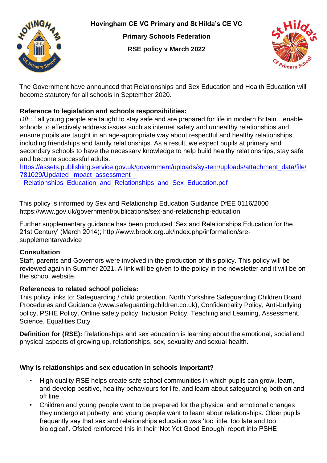**Hovingham CE VC Primary and St Hilda's CE VC**



**Primary Schools Federation** 

**RSE policy v March 2022**



The Government have announced that Relationships and Sex Education and Health Education will become statutory for all schools in September 2020.

# **Reference to legislation and schools responsibilities:**

*DfE:*.'.all young people are taught to stay safe and are prepared for life in modern Britain…enable schools to effectively address issues such as internet safety and unhealthy relationships and ensure pupils are taught in an age-appropriate way about respectful and healthy relationships, including friendships and family relationships. As a result, we expect pupils at primary and secondary schools to have the necessary knowledge to help build healthy relationships, stay safe and become successful adults.'

[https://assets.publishing.service.gov.uk/government/uploads/system/uploads/attachment\\_data/file/](https://assets.publishing.service.gov.uk/government/uploads/system/uploads/attachment_data/file/781029/Updated_impact_assessment_-_Relationships_Education_and_Relationships_and_Sex_Education.pdf) 781029/Updated\_impact\_assessment -Relationships Education and Relationships and Sex Education.pdf

This policy is informed by Sex and Relationship Education Guidance DfEE 0116/2000 https://www.gov.uk/government/publications/sex-and-relationship-education

Further supplementary guidance has been produced 'Sex and Relationships Education for the 21st Century' (March 2014); http://www.brook.org.uk/index.php/information/sresupplementaryadvice

## **Consultation**

Staff, parents and Governors were involved in the production of this policy. This policy will be reviewed again in Summer 2021. A link will be given to the policy in the newsletter and it will be on the school website.

## **References to related school policies:**

This policy links to: Safeguarding / child protection. North Yorkshire Safeguarding Children Board Procedures and Guidance (www.safeguardingchildren.co.uk), Confidentiality Policy, Anti-bullying policy, PSHE Policy, Online safety policy, Inclusion Policy, Teaching and Learning, Assessment, Science, Equalities Duty

**Definition for (RSE):** Relationships and sex education is learning about the emotional, social and physical aspects of growing up, relationships, sex, sexuality and sexual health.

## **Why is relationships and sex education in schools important?**

- High quality RSE helps create safe school communities in which pupils can grow, learn, and develop positive, healthy behaviours for life, and learn about safeguarding both on and off line
- Children and young people want to be prepared for the physical and emotional changes they undergo at puberty, and young people want to learn about relationships. Older pupils frequently say that sex and relationships education was 'too little, too late and too biological'. Ofsted reinforced this in their 'Not Yet Good Enough' report into PSHE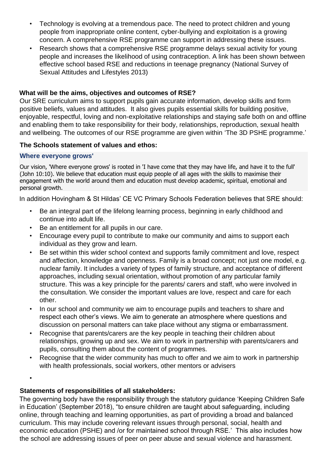- Technology is evolving at a tremendous pace. The need to protect children and young people from inappropriate online content, cyber-bullying and exploitation is a growing concern. A comprehensive RSE programme can support in addressing these issues.
- Research shows that a comprehensive RSE programme delays sexual activity for young people and increases the likelihood of using contraception. A link has been shown between effective school based RSE and reductions in teenage pregnancy (National Survey of Sexual Attitudes and Lifestyles 2013)

### **What will be the aims, objectives and outcomes of RSE?**

Our SRE curriculum aims to support pupils gain accurate information, develop skills and form positive beliefs, values and attitudes. It also gives pupils essential skills for building positive, enjoyable, respectful, loving and non-exploitative relationships and staying safe both on and offline and enabling them to take responsibility for their body, relationships, reproduction, sexual health and wellbeing. The outcomes of our RSE programme are given within 'The 3D PSHE programme.'

#### **The Schools statement of values and ethos:**

### **Where everyone grows'**

Our vision, 'Where everyone grows' is rooted in 'I have come that they may have life, and have it to the full' (John 10:10). We believe that education must equip people of all ages with the skills to maximise their engagement with the world around them and education must develop academic, spiritual, emotional and personal growth.

In addition Hovingham & St Hildas' CE VC Primary Schools Federation believes that SRE should:

- Be an integral part of the lifelong learning process, beginning in early childhood and continue into adult life.
- Be an entitlement for all pupils in our care.
- Encourage every pupil to contribute to make our community and aims to support each individual as they grow and learn.
- Be set within this wider school context and supports family commitment and love, respect and affection, knowledge and openness. Family is a broad concept; not just one model, e.g. nuclear family. It includes a variety of types of family structure, and acceptance of different approaches, including sexual orientation, without promotion of any particular family structure. This was a key principle for the parents/ carers and staff, who were involved in the consultation. We consider the important values are love, respect and care for each other.
- In our school and community we aim to encourage pupils and teachers to share and respect each other's views. We aim to generate an atmosphere where questions and discussion on personal matters can take place without any stigma or embarrassment.
- Recognise that parents/carers are the key people in teaching their children about relationships, growing up and sex. We aim to work in partnership with parents/carers and pupils, consulting them about the content of programmes.
- Recognise that the wider community has much to offer and we aim to work in partnership with health professionals, social workers, other mentors or advisers

•

## **Statements of responsibilities of all stakeholders:**

The governing body have the responsibility through the statutory guidance 'Keeping Children Safe in Education' (September 2018), "to ensure children are taught about safeguarding, including online, through teaching and learning opportunities, as part of providing a broad and balanced curriculum. This may include covering relevant issues through personal, social, health and economic education (PSHE) and /or for maintained school through RSE.' This also includes how the school are addressing issues of peer on peer abuse and sexual violence and harassment.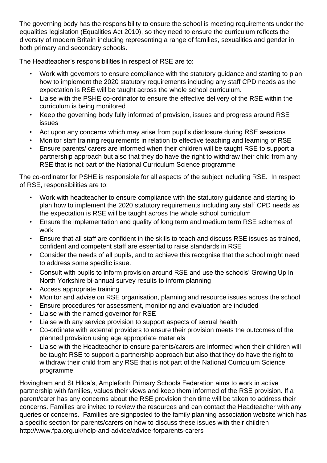The governing body has the responsibility to ensure the school is meeting requirements under the equalities legislation (Equalities Act 2010), so they need to ensure the curriculum reflects the diversity of modern Britain including representing a range of families, sexualities and gender in both primary and secondary schools.

The Headteacher's responsibilities in respect of RSE are to:

- Work with governors to ensure compliance with the statutory guidance and starting to plan how to implement the 2020 statutory requirements including any staff CPD needs as the expectation is RSE will be taught across the whole school curriculum.
- Liaise with the PSHE co-ordinator to ensure the effective delivery of the RSE within the curriculum is being monitored
- Keep the governing body fully informed of provision, issues and progress around RSE issues
- Act upon any concerns which may arise from pupil's disclosure during RSE sessions
- Monitor staff training requirements in relation to effective teaching and learning of RSE
- Ensure parents/ carers are informed when their children will be taught RSE to support a partnership approach but also that they do have the right to withdraw their child from any RSE that is not part of the National Curriculum Science programme

The co-ordinator for PSHE is responsible for all aspects of the subject including RSE. In respect of RSE, responsibilities are to:

- Work with headteacher to ensure compliance with the statutory guidance and starting to plan how to implement the 2020 statutory requirements including any staff CPD needs as the expectation is RSE will be taught across the whole school curriculum
- Ensure the implementation and quality of long term and medium term RSE schemes of work
- Ensure that all staff are confident in the skills to teach and discuss RSE issues as trained, confident and competent staff are essential to raise standards in RSE
- Consider the needs of all pupils, and to achieve this recognise that the school might need to address some specific issue.
- Consult with pupils to inform provision around RSE and use the schools' Growing Up in North Yorkshire bi-annual survey results to inform planning
- Access appropriate training
- Monitor and advise on RSE organisation, planning and resource issues across the school
- Ensure procedures for assessment, monitoring and evaluation are included
- Liaise with the named governor for RSE
- Liaise with any service provision to support aspects of sexual health
- Co-ordinate with external providers to ensure their provision meets the outcomes of the planned provision using age appropriate materials
- Liaise with the Headteacher to ensure parents/carers are informed when their children will be taught RSE to support a partnership approach but also that they do have the right to withdraw their child from any RSE that is not part of the National Curriculum Science programme

Hovingham and St Hilda's, Ampleforth Primary Schools Federation aims to work in active partnership with families, values their views and keep them informed of the RSE provision. If a parent/carer has any concerns about the RSE provision then time will be taken to address their concerns. Families are invited to review the resources and can contact the Headteacher with any queries or concerns. Families are signposted to the family planning association website which has a specific section for parents/carers on how to discuss these issues with their children http://www.fpa.org.uk/help-and-advice/advice-forparents-carers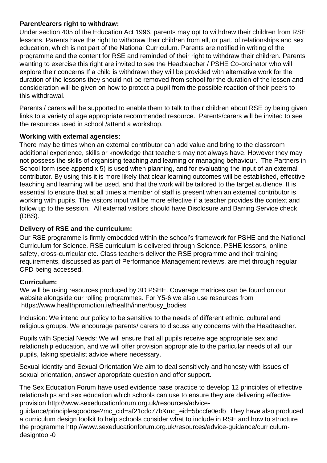## **Parent/carers right to withdraw:**

Under section 405 of the Education Act 1996, parents may opt to withdraw their children from RSE lessons. Parents have the right to withdraw their children from all, or part, of relationships and sex education, which is not part of the National Curriculum. Parents are notified in writing of the programme and the content for RSE and reminded of their right to withdraw their children. Parents wanting to exercise this right are invited to see the Headteacher / PSHE Co-ordinator who will explore their concerns If a child is withdrawn they will be provided with alternative work for the duration of the lessons they should not be removed from school for the duration of the lesson and consideration will be given on how to protect a pupil from the possible reaction of their peers to this withdrawal.

Parents / carers will be supported to enable them to talk to their children about RSE by being given links to a variety of age appropriate recommended resource. Parents/carers will be invited to see the resources used in school /attend a workshop.

# **Working with external agencies:**

There may be times when an external contributor can add value and bring to the classroom additional experience, skills or knowledge that teachers may not always have. However they may not possess the skills of organising teaching and learning or managing behaviour. The Partners in School form (see appendix 5) is used when planning, and for evaluating the input of an external contributor. By using this it is more likely that clear learning outcomes will be established, effective teaching and learning will be used, and that the work will be tailored to the target audience. It is essential to ensure that at all times a member of staff is present when an external contributor is working with pupils. The visitors input will be more effective if a teacher provides the context and follow up to the session. All external visitors should have Disclosure and Barring Service check (DBS).

# **Delivery of RSE and the curriculum:**

Our RSE programme is firmly embedded within the school's framework for PSHE and the National Curriculum for Science. RSE curriculum is delivered through Science, PSHE lessons, online safety, cross-curricular etc. Class teachers deliver the RSE programme and their training requirements, discussed as part of Performance Management reviews, are met through regular CPD being accessed.

## **Curriculum:**

We will be using resources produced by 3D PSHE. Coverage matrices can be found on our website alongside our rolling programmes. For Y5-6 we also use resources from https://www.healthpromotion.ie/health/inner/busy\_bodies

Inclusion: We intend our policy to be sensitive to the needs of different ethnic, cultural and religious groups. We encourage parents/ carers to discuss any concerns with the Headteacher.

Pupils with Special Needs: We will ensure that all pupils receive age appropriate sex and relationship education, and we will offer provision appropriate to the particular needs of all our pupils, taking specialist advice where necessary.

Sexual Identity and Sexual Orientation We aim to deal sensitively and honesty with issues of sexual orientation, answer appropriate question and offer support.

The Sex Education Forum have used evidence base practice to develop 12 principles of effective relationships and sex education which schools can use to ensure they are delivering effective provision http://www.sexeducationforum.org.uk/resources/advice-

guidance/principlesgoodrse?mc\_cid=af21cdc77b&mc\_eid=5bccfe0edb They have also produced a curriculum design toolkit to help schools consider what to include in RSE and how to structure the programme http://www.sexeducationforum.org.uk/resources/advice-guidance/curriculumdesigntool-0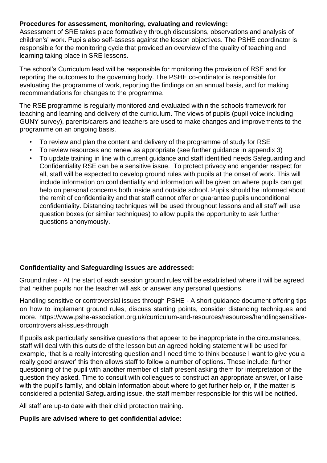## **Procedures for assessment, monitoring, evaluating and reviewing:**

Assessment of SRE takes place formatively through discussions, observations and analysis of children's' work. Pupils also self-assess against the lesson objectives. The PSHE coordinator is responsible for the monitoring cycle that provided an overview of the quality of teaching and learning taking place in SRE lessons.

The school's Curriculum lead will be responsible for monitoring the provision of RSE and for reporting the outcomes to the governing body. The PSHE co-ordinator is responsible for evaluating the programme of work, reporting the findings on an annual basis, and for making recommendations for changes to the programme.

The RSE programme is regularly monitored and evaluated within the schools framework for teaching and learning and delivery of the curriculum. The views of pupils (pupil voice including GUNY survey), parents/carers and teachers are used to make changes and improvements to the programme on an ongoing basis.

- To review and plan the content and delivery of the programme of study for RSE
- To review resources and renew as appropriate (see further guidance in appendix 3)
- To update training in line with current guidance and staff identified needs Safeguarding and Confidentiality RSE can be a sensitive issue. To protect privacy and engender respect for all, staff will be expected to develop ground rules with pupils at the onset of work. This will include information on confidentiality and information will be given on where pupils can get help on personal concerns both inside and outside school. Pupils should be informed about the remit of confidentiality and that staff cannot offer or guarantee pupils unconditional confidentiality. Distancing techniques will be used throughout lessons and all staff will use question boxes (or similar techniques) to allow pupils the opportunity to ask further questions anonymously.

## **Confidentiality and Safeguarding Issues are addressed:**

Ground rules - At the start of each session ground rules will be established where it will be agreed that neither pupils nor the teacher will ask or answer any personal questions.

Handling sensitive or controversial issues through PSHE - A short guidance document offering tips on how to implement ground rules, discuss starting points, consider distancing techniques and more. https://www.pshe-association.org.uk/curriculum-and-resources/resources/handlingsensitiveorcontroversial-issues-through

If pupils ask particularly sensitive questions that appear to be inappropriate in the circumstances, staff will deal with this outside of the lesson but an agreed holding statement will be used for example, 'that is a really interesting question and I need time to think because I want to give you a really good answer' this then allows staff to follow a number of options. These include: further questioning of the pupil with another member of staff present asking them for interpretation of the question they asked. Time to consult with colleagues to construct an appropriate answer, or liaise with the pupil's family, and obtain information about where to get further help or, if the matter is considered a potential Safeguarding issue, the staff member responsible for this will be notified.

All staff are up-to date with their child protection training.

## **Pupils are advised where to get confidential advice:**